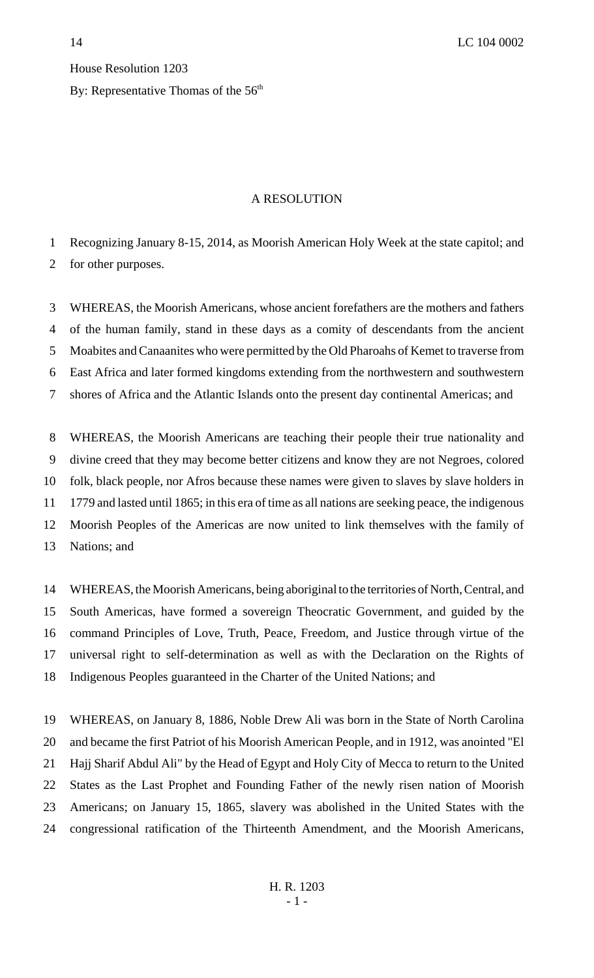House Resolution 1203 By: Representative Thomas of the  $56<sup>th</sup>$ 

## A RESOLUTION

Recognizing January 8-15, 2014, as Moorish American Holy Week at the state capitol; and

for other purposes.

 WHEREAS, the Moorish Americans, whose ancient forefathers are the mothers and fathers of the human family, stand in these days as a comity of descendants from the ancient Moabites and Canaanites who were permitted by the Old Pharoahs of Kemet to traverse from East Africa and later formed kingdoms extending from the northwestern and southwestern shores of Africa and the Atlantic Islands onto the present day continental Americas; and

 WHEREAS, the Moorish Americans are teaching their people their true nationality and divine creed that they may become better citizens and know they are not Negroes, colored folk, black people, nor Afros because these names were given to slaves by slave holders in 1779 and lasted until 1865; in this era of time as all nations are seeking peace, the indigenous Moorish Peoples of the Americas are now united to link themselves with the family of Nations; and

 WHEREAS, the Moorish Americans, being aboriginal to the territories of North, Central, and South Americas, have formed a sovereign Theocratic Government, and guided by the command Principles of Love, Truth, Peace, Freedom, and Justice through virtue of the universal right to self-determination as well as with the Declaration on the Rights of Indigenous Peoples guaranteed in the Charter of the United Nations; and

 WHEREAS, on January 8, 1886, Noble Drew Ali was born in the State of North Carolina and became the first Patriot of his Moorish American People, and in 1912, was anointed "El Hajj Sharif Abdul Ali" by the Head of Egypt and Holy City of Mecca to return to the United States as the Last Prophet and Founding Father of the newly risen nation of Moorish Americans; on January 15, 1865, slavery was abolished in the United States with the congressional ratification of the Thirteenth Amendment, and the Moorish Americans,